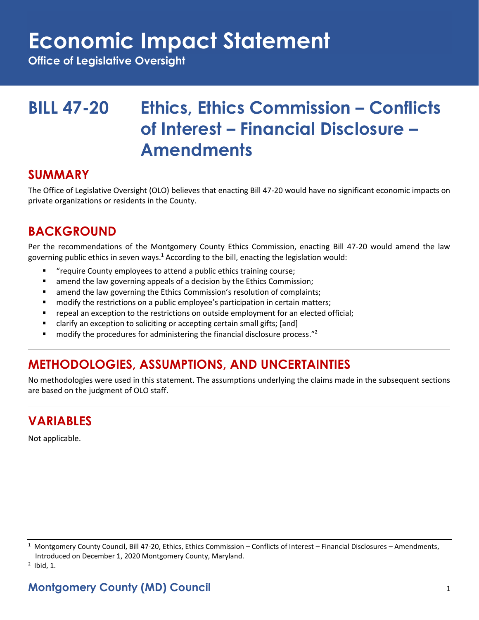# **Economic Impact Statement**

**Office of Legislative Oversight**

## **BILL 47-20 Ethics, Ethics Commission – Conflicts of Interest – Financial Disclosure – Amendments**

#### **SUMMARY**

The Office of Legislative Oversight (OLO) believes that enacting Bill 47-20 would have no significant economic impacts on private organizations or residents in the County.

### **BACKGROUND**

Per the recommendations of the Montgomery County Ethics Commission, enacting Bill 47-20 would amend the law governing public ethics in seven ways.<sup>1</sup> According to the bill, enacting the legislation would:

- "require County employees to attend a public ethics training course;
- amend the law governing appeals of a decision by the Ethics Commission;
- amend the law governing the Ethics Commission's resolution of complaints;
- modify the restrictions on a public employee's participation in certain matters;
- **•** repeal an exception to the restrictions on outside employment for an elected official;
- clarify an exception to soliciting or accepting certain small gifts; [and]
- $\blacksquare$  modify the procedures for administering the financial disclosure process."

#### **METHODOLOGIES, ASSUMPTIONS, AND UNCERTAINTIES**

No methodologies were used in this statement. The assumptions underlying the claims made in the subsequent sections are based on the judgment of OLO staff.

#### **VARIABLES**

Not applicable.

 $1$  Montgomery County Council, Bill 47-20, Ethics, Ethics Commission – Conflicts of Interest – Financial Disclosures – Amendments, Introduced on December 1, 2020 Montgomery County, Maryland.

 $<sup>2</sup>$  Ibid, 1.</sup>